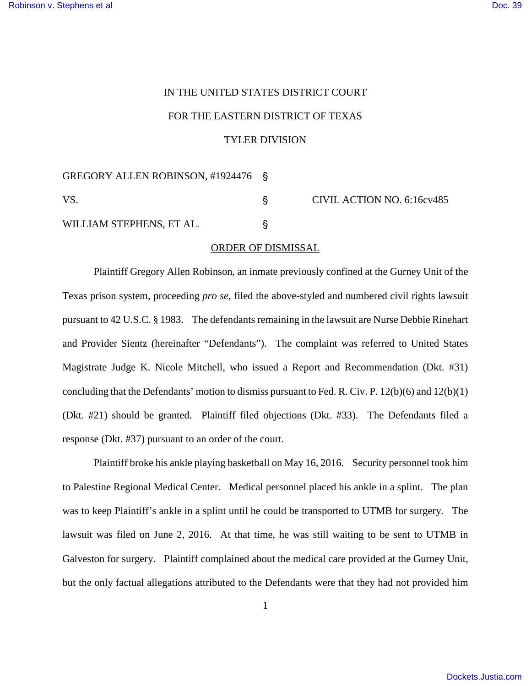## IN THE UNITED STATES DISTRICT COURT FOR THE EASTERN DISTRICT OF TEXAS TYLER DIVISION

GREGORY ALLEN ROBINSON, #1924476 '

WILLIAM STEPHENS, ET AL.

VS. S CIVIL ACTION NO. 6:16cv485

## ORDER OF DISMISSAL

Plaintiff Gregory Allen Robinson, an inmate previously confined at the Gurney Unit of the Texas prison system, proceeding *pro se*, filed the above-styled and numbered civil rights lawsuit pursuant to 42 U.S.C. § 1983. The defendants remaining in the lawsuit are Nurse Debbie Rinehart and Provider Sientz (hereinafter "Defendants"). The complaint was referred to United States Magistrate Judge K. Nicole Mitchell, who issued a Report and Recommendation (Dkt. #31) concluding that the Defendants' motion to dismiss pursuant to Fed. R. Civ. P. 12(b)(6) and 12(b)(1) (Dkt. #21) should be granted. Plaintiff filed objections (Dkt. #33). The Defendants filed a response (Dkt. #37) pursuant to an order of the court.

Plaintiff broke his ankle playing basketball on May 16, 2016. Security personnel took him to Palestine Regional Medical Center. Medical personnel placed his ankle in a splint. The plan was to keep Plaintiff's ankle in a splint until he could be transported to UTMB for surgery. The lawsuit was filed on June 2, 2016. At that time, he was still waiting to be sent to UTMB in Galveston for surgery. Plaintiff complained about the medical care provided at the Gurney Unit, but the only factual allegations attributed to the Defendants were that they had not provided him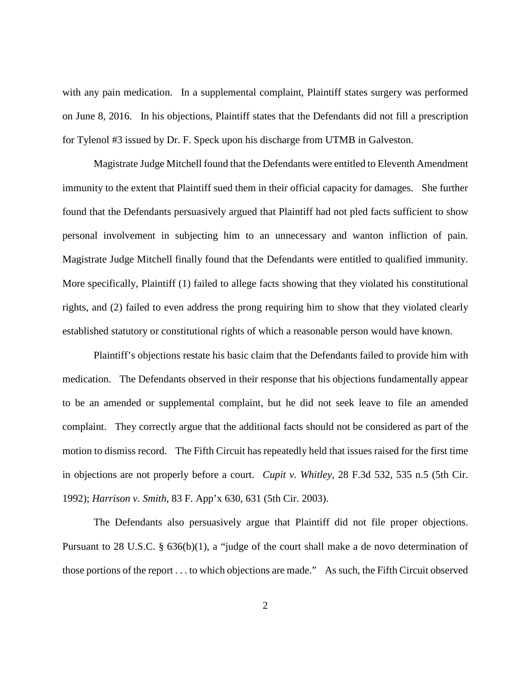with any pain medication. In a supplemental complaint, Plaintiff states surgery was performed on June 8, 2016. In his objections, Plaintiff states that the Defendants did not fill a prescription for Tylenol #3 issued by Dr. F. Speck upon his discharge from UTMB in Galveston.

Magistrate Judge Mitchell found that the Defendants were entitled to Eleventh Amendment immunity to the extent that Plaintiff sued them in their official capacity for damages. She further found that the Defendants persuasively argued that Plaintiff had not pled facts sufficient to show personal involvement in subjecting him to an unnecessary and wanton infliction of pain. Magistrate Judge Mitchell finally found that the Defendants were entitled to qualified immunity. More specifically, Plaintiff (1) failed to allege facts showing that they violated his constitutional rights, and (2) failed to even address the prong requiring him to show that they violated clearly established statutory or constitutional rights of which a reasonable person would have known.

Plaintiff's objections restate his basic claim that the Defendants failed to provide him with medication. The Defendants observed in their response that his objections fundamentally appear to be an amended or supplemental complaint, but he did not seek leave to file an amended complaint. They correctly argue that the additional facts should not be considered as part of the motion to dismiss record. The Fifth Circuit has repeatedly held that issues raised for the first time in objections are not properly before a court. *Cupit v. Whitley*, 28 F.3d 532, 535 n.5 (5th Cir. 1992); *Harrison v. Smith*, 83 F. App'x 630, 631 (5th Cir. 2003).

The Defendants also persuasively argue that Plaintiff did not file proper objections. Pursuant to 28 U.S.C. § 636(b)(1), a "judge of the court shall make a de novo determination of those portions of the report . . . to which objections are made." As such, the Fifth Circuit observed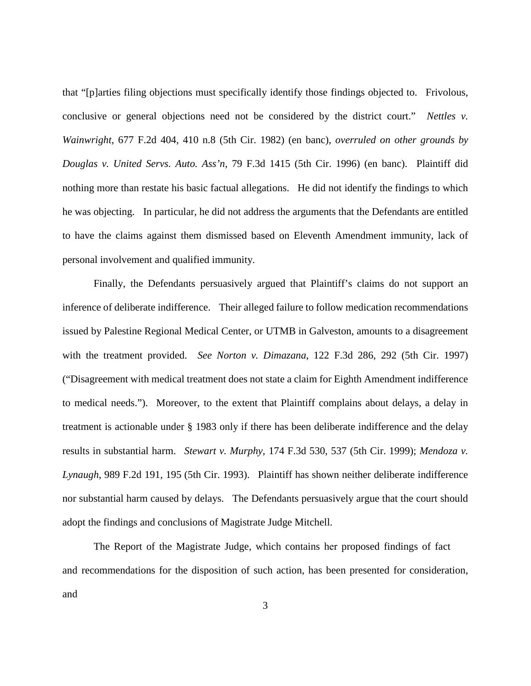that "[p]arties filing objections must specifically identify those findings objected to. Frivolous, conclusive or general objections need not be considered by the district court." *Nettles v. Wainwright*, 677 F.2d 404, 410 n.8 (5th Cir. 1982) (en banc), *overruled on other grounds by Douglas v. United Servs. Auto. Ass'n*, 79 F.3d 1415 (5th Cir. 1996) (en banc). Plaintiff did nothing more than restate his basic factual allegations. He did not identify the findings to which he was objecting. In particular, he did not address the arguments that the Defendants are entitled to have the claims against them dismissed based on Eleventh Amendment immunity, lack of personal involvement and qualified immunity.

Finally, the Defendants persuasively argued that Plaintiff's claims do not support an inference of deliberate indifference. Their alleged failure to follow medication recommendations issued by Palestine Regional Medical Center, or UTMB in Galveston, amounts to a disagreement with the treatment provided. *See Norton v. Dimazana*, 122 F.3d 286, 292 (5th Cir. 1997) ("Disagreement with medical treatment does not state a claim for Eighth Amendment indifference to medical needs."). Moreover, to the extent that Plaintiff complains about delays, a delay in treatment is actionable under § 1983 only if there has been deliberate indifference and the delay results in substantial harm. *Stewart v. Murphy*, 174 F.3d 530, 537 (5th Cir. 1999); *Mendoza v. Lynaugh*, 989 F.2d 191, 195 (5th Cir. 1993). Plaintiff has shown neither deliberate indifference nor substantial harm caused by delays. The Defendants persuasively argue that the court should adopt the findings and conclusions of Magistrate Judge Mitchell.

The Report of the Magistrate Judge, which contains her proposed findings of fact and recommendations for the disposition of such action, has been presented for consideration, and